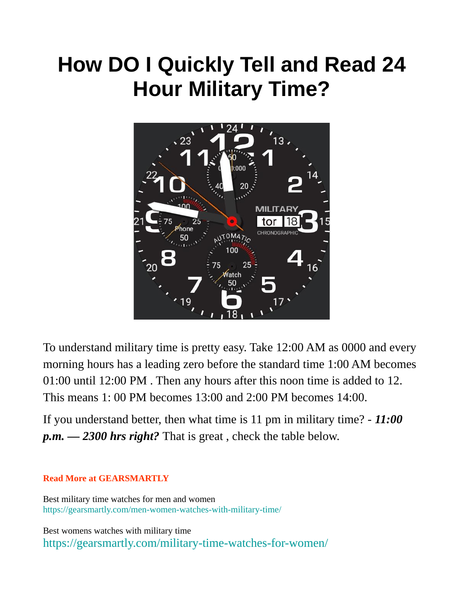## **How DO I Quickly Tell and Read 24 Hour Military Time?**



To understand military time is pretty easy. Take 12:00 AM as 0000 and every morning hours has a leading zero before the standard time 1:00 AM becomes 01:00 until 12:00 PM . Then any hours after this noon time is added to 12. This means 1: 00 PM becomes 13:00 and 2:00 PM becomes 14:00.

If you understand better, then what time is 11 pm in military time? - *11:00 p.m. — 2300 hrs right?* That is great , check the table below.

## **Read More at GEARSMARTLY**

Best military time watches for men and women https://gearsmartly.com/men-women-watches-with-military-time/

Best womens watches with military time https://gearsmartly.com/military-time-watches-for-women/